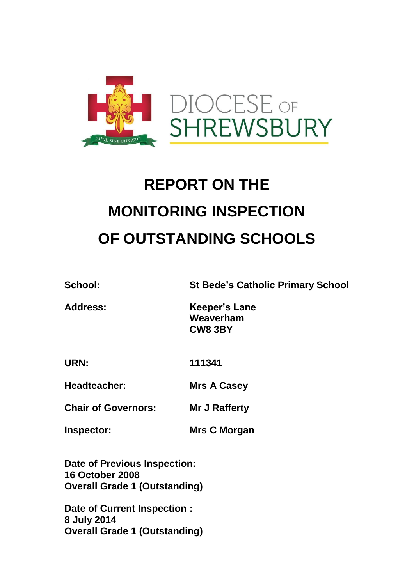

# **REPORT ON THE MONITORING INSPECTION OF OUTSTANDING SCHOOLS**

**School: St Bede's Catholic Primary School**

| <b>Address:</b> | <b>Keeper's Lane</b> |
|-----------------|----------------------|
|                 | Weaverham            |
|                 | CW8 3BY              |

**URN: 111341**

**Headteacher: Mrs A Casey**

**Chair of Governors: Mr J Rafferty**

**Inspector: Mrs C Morgan**

**Date of Previous Inspection: 16 October 2008 Overall Grade 1 (Outstanding)**

**Date of Current Inspection : 8 July 2014 Overall Grade 1 (Outstanding)**